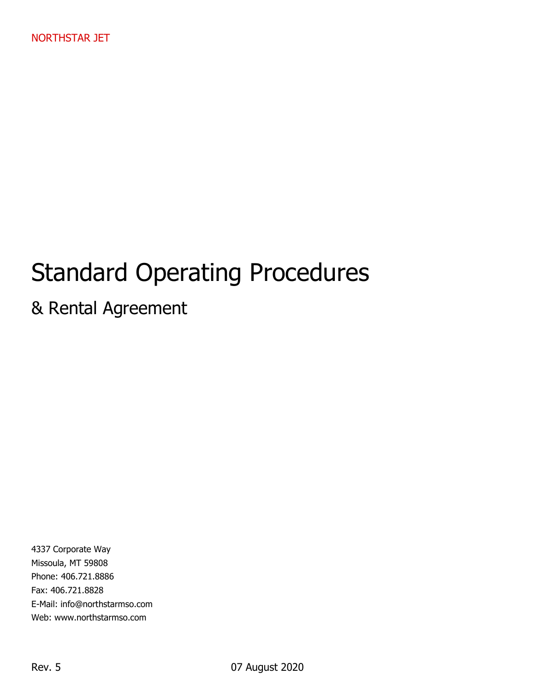# Standard Operating Procedures

# & Rental Agreement

4337 Corporate Way Missoula, MT 59808 Phone: 406.721.8886 Fax: 406.721.8828 E-Mail: info@northstarmso.com Web: www.northstarmso.com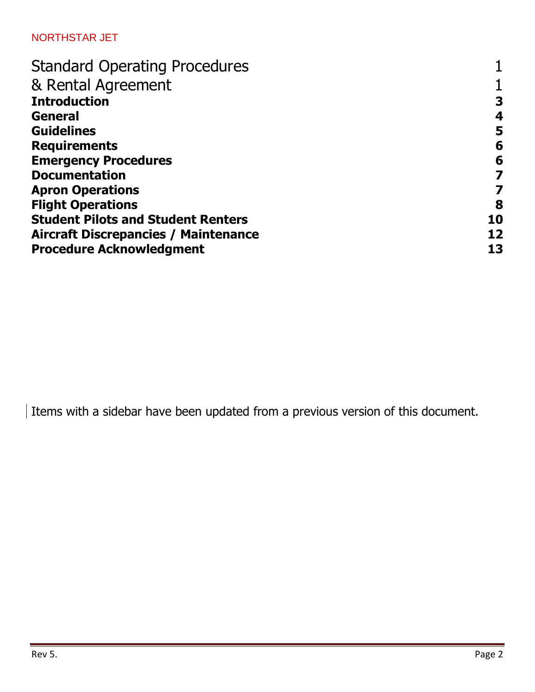| <b>Standard Operating Procedures</b>        |    |
|---------------------------------------------|----|
| & Rental Agreement                          |    |
| <b>Introduction</b>                         | 3  |
| <b>General</b>                              | 4  |
| <b>Guidelines</b>                           | 5  |
| <b>Requirements</b>                         | 6  |
| <b>Emergency Procedures</b>                 | 6  |
| <b>Documentation</b>                        | 7  |
| <b>Apron Operations</b>                     |    |
| <b>Flight Operations</b>                    | 8  |
| <b>Student Pilots and Student Renters</b>   | 10 |
| <b>Aircraft Discrepancies / Maintenance</b> | 12 |
| <b>Procedure Acknowledgment</b>             | 13 |

Items with a sidebar have been updated from a previous version of this document.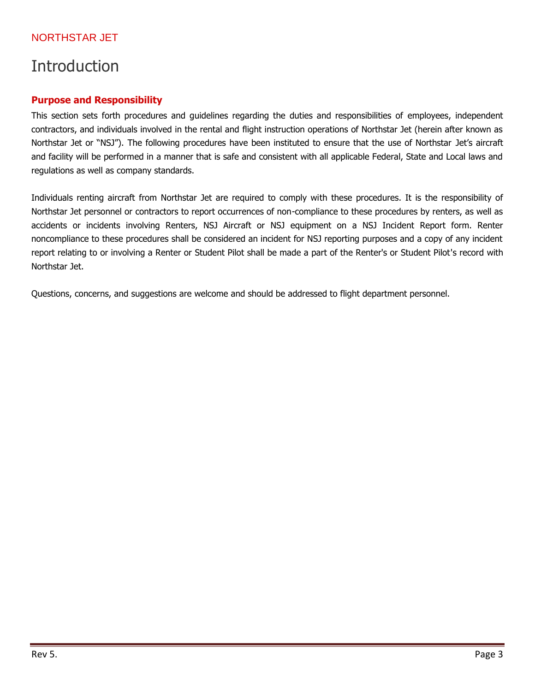# Introduction

#### **Purpose and Responsibility**

This section sets forth procedures and guidelines regarding the duties and responsibilities of employees, independent contractors, and individuals involved in the rental and flight instruction operations of Northstar Jet (herein after known as Northstar Jet or "NSJ"). The following procedures have been instituted to ensure that the use of Northstar Jet's aircraft and facility will be performed in a manner that is safe and consistent with all applicable Federal, State and Local laws and regulations as well as company standards.

Individuals renting aircraft from Northstar Jet are required to comply with these procedures. It is the responsibility of Northstar Jet personnel or contractors to report occurrences of non-compliance to these procedures by renters, as well as accidents or incidents involving Renters, NSJ Aircraft or NSJ equipment on a NSJ Incident Report form. Renter noncompliance to these procedures shall be considered an incident for NSJ reporting purposes and a copy of any incident report relating to or involving a Renter or Student Pilot shall be made a part of the Renter's or Student Pilot's record with Northstar Jet.

Questions, concerns, and suggestions are welcome and should be addressed to flight department personnel.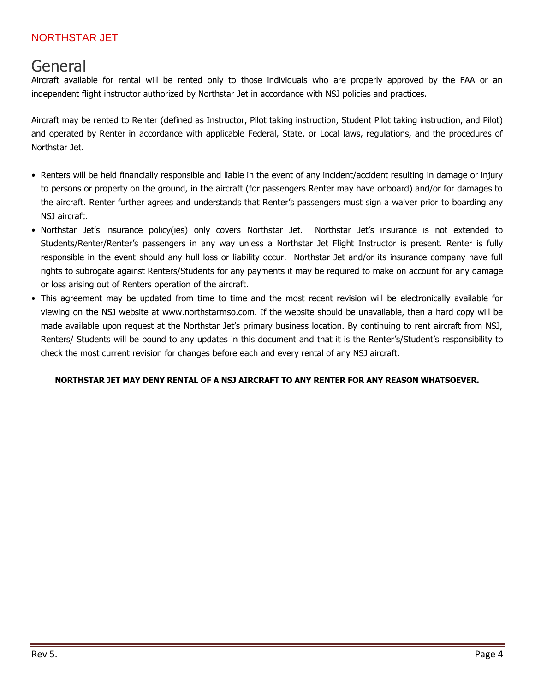### General

Aircraft available for rental will be rented only to those individuals who are properly approved by the FAA or an independent flight instructor authorized by Northstar Jet in accordance with NSJ policies and practices.

Aircraft may be rented to Renter (defined as Instructor, Pilot taking instruction, Student Pilot taking instruction, and Pilot) and operated by Renter in accordance with applicable Federal, State, or Local laws, regulations, and the procedures of Northstar Jet.

- Renters will be held financially responsible and liable in the event of any incident/accident resulting in damage or injury to persons or property on the ground, in the aircraft (for passengers Renter may have onboard) and/or for damages to the aircraft. Renter further agrees and understands that Renter's passengers must sign a waiver prior to boarding any NSJ aircraft.
- Northstar Jet's insurance policy(ies) only covers Northstar Jet. Northstar Jet's insurance is not extended to Students/Renter/Renter's passengers in any way unless a Northstar Jet Flight Instructor is present. Renter is fully responsible in the event should any hull loss or liability occur. Northstar Jet and/or its insurance company have full rights to subrogate against Renters/Students for any payments it may be required to make on account for any damage or loss arising out of Renters operation of the aircraft.
- This agreement may be updated from time to time and the most recent revision will be electronically available for viewing on the NSJ website at www.northstarmso.com. If the website should be unavailable, then a hard copy will be made available upon request at the Northstar Jet's primary business location. By continuing to rent aircraft from NSJ, Renters/ Students will be bound to any updates in this document and that it is the Renter's/Student's responsibility to check the most current revision for changes before each and every rental of any NSJ aircraft.

#### **NORTHSTAR JET MAY DENY RENTAL OF A NSJ AIRCRAFT TO ANY RENTER FOR ANY REASON WHATSOEVER.**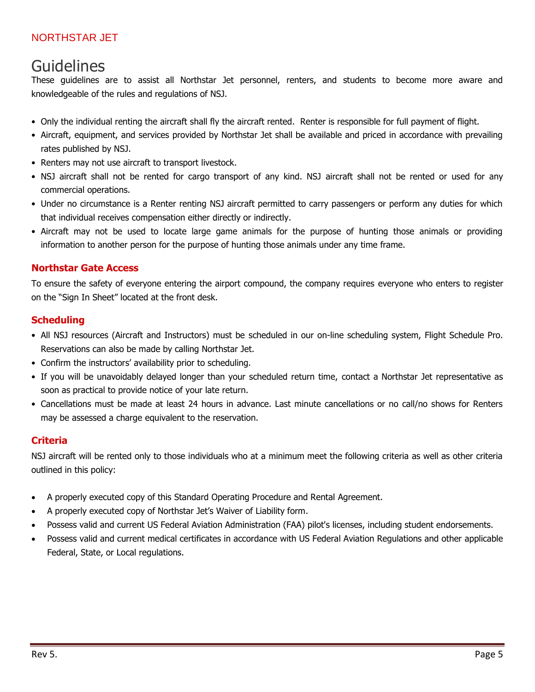# Guidelines

These guidelines are to assist all Northstar Jet personnel, renters, and students to become more aware and knowledgeable of the rules and regulations of NSJ.

- Only the individual renting the aircraft shall fly the aircraft rented. Renter is responsible for full payment of flight.
- Aircraft, equipment, and services provided by Northstar Jet shall be available and priced in accordance with prevailing rates published by NSJ.
- Renters may not use aircraft to transport livestock.
- NSJ aircraft shall not be rented for cargo transport of any kind. NSJ aircraft shall not be rented or used for any commercial operations.
- Under no circumstance is a Renter renting NSJ aircraft permitted to carry passengers or perform any duties for which that individual receives compensation either directly or indirectly.
- Aircraft may not be used to locate large game animals for the purpose of hunting those animals or providing information to another person for the purpose of hunting those animals under any time frame.

#### **Northstar Gate Access**

To ensure the safety of everyone entering the airport compound, the company requires everyone who enters to register on the "Sign In Sheet" located at the front desk.

#### **Scheduling**

- All NSJ resources (Aircraft and Instructors) must be scheduled in our on-line scheduling system, Flight Schedule Pro. Reservations can also be made by calling Northstar Jet.
- Confirm the instructors' availability prior to scheduling.
- If you will be unavoidably delayed longer than your scheduled return time, contact a Northstar Jet representative as soon as practical to provide notice of your late return.
- Cancellations must be made at least 24 hours in advance. Last minute cancellations or no call/no shows for Renters may be assessed a charge equivalent to the reservation.

#### **Criteria**

NSJ aircraft will be rented only to those individuals who at a minimum meet the following criteria as well as other criteria outlined in this policy:

- A properly executed copy of this Standard Operating Procedure and Rental Agreement.
- A properly executed copy of Northstar Jet's Waiver of Liability form.
- Possess valid and current US Federal Aviation Administration (FAA) pilot's licenses, including student endorsements.
- Possess valid and current medical certificates in accordance with US Federal Aviation Regulations and other applicable Federal, State, or Local regulations.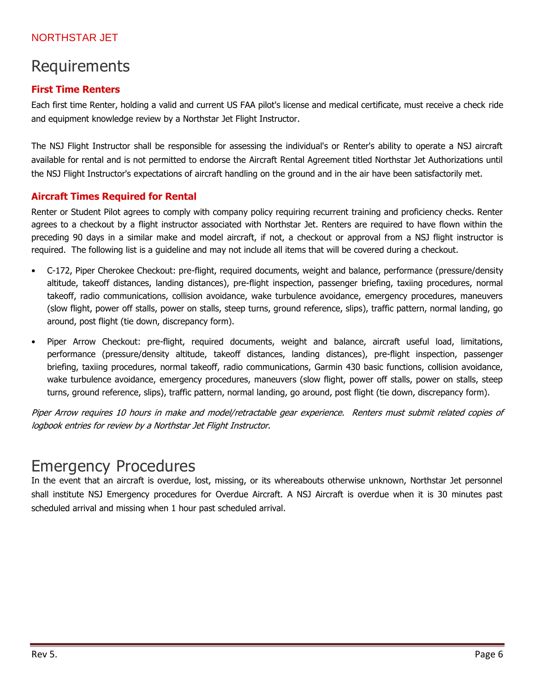# Requirements

### **First Time Renters**

Each first time Renter, holding a valid and current US FAA pilot's license and medical certificate, must receive a check ride and equipment knowledge review by a Northstar Jet Flight Instructor.

The NSJ Flight Instructor shall be responsible for assessing the individual's or Renter's ability to operate a NSJ aircraft available for rental and is not permitted to endorse the Aircraft Rental Agreement titled Northstar Jet Authorizations until the NSJ Flight Instructor's expectations of aircraft handling on the ground and in the air have been satisfactorily met.

### **Aircraft Times Required for Rental**

Renter or Student Pilot agrees to comply with company policy requiring recurrent training and proficiency checks. Renter agrees to a checkout by a flight instructor associated with Northstar Jet. Renters are required to have flown within the preceding 90 days in a similar make and model aircraft, if not, a checkout or approval from a NSJ flight instructor is required. The following list is a guideline and may not include all items that will be covered during a checkout.

- C-172, Piper Cherokee Checkout: pre-flight, required documents, weight and balance, performance (pressure/density altitude, takeoff distances, landing distances), pre-flight inspection, passenger briefing, taxiing procedures, normal takeoff, radio communications, collision avoidance, wake turbulence avoidance, emergency procedures, maneuvers (slow flight, power off stalls, power on stalls, steep turns, ground reference, slips), traffic pattern, normal landing, go around, post flight (tie down, discrepancy form).
- Piper Arrow Checkout: pre-flight, required documents, weight and balance, aircraft useful load, limitations, performance (pressure/density altitude, takeoff distances, landing distances), pre-flight inspection, passenger briefing, taxiing procedures, normal takeoff, radio communications, Garmin 430 basic functions, collision avoidance, wake turbulence avoidance, emergency procedures, maneuvers (slow flight, power off stalls, power on stalls, steep turns, ground reference, slips), traffic pattern, normal landing, go around, post flight (tie down, discrepancy form).

Piper Arrow requires 10 hours in make and model/retractable gear experience. Renters must submit related copies of logbook entries for review by a Northstar Jet Flight Instructor.

# Emergency Procedures

In the event that an aircraft is overdue, lost, missing, or its whereabouts otherwise unknown, Northstar Jet personnel shall institute NSJ Emergency procedures for Overdue Aircraft. A NSJ Aircraft is overdue when it is 30 minutes past scheduled arrival and missing when 1 hour past scheduled arrival.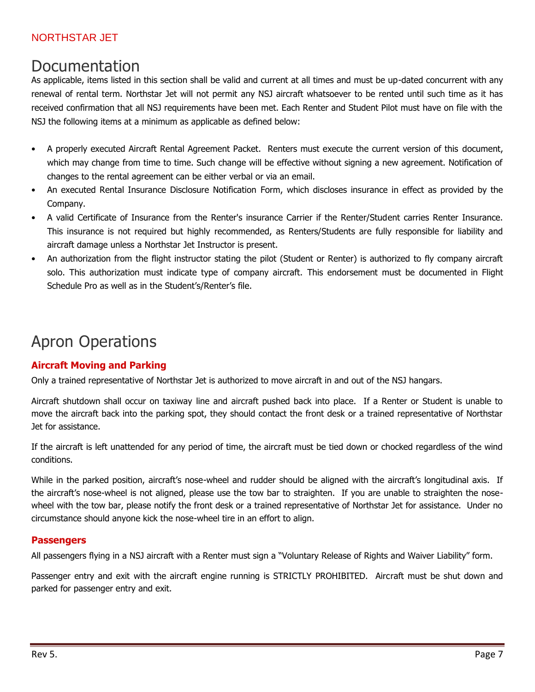### Documentation

As applicable, items listed in this section shall be valid and current at all times and must be up-dated concurrent with any renewal of rental term. Northstar Jet will not permit any NSJ aircraft whatsoever to be rented until such time as it has received confirmation that all NSJ requirements have been met. Each Renter and Student Pilot must have on file with the NSJ the following items at a minimum as applicable as defined below:

- A properly executed Aircraft Rental Agreement Packet. Renters must execute the current version of this document, which may change from time to time. Such change will be effective without signing a new agreement. Notification of changes to the rental agreement can be either verbal or via an email.
- An executed Rental Insurance Disclosure Notification Form, which discloses insurance in effect as provided by the Company.
- A valid Certificate of Insurance from the Renter's insurance Carrier if the Renter/Student carries Renter Insurance. This insurance is not required but highly recommended, as Renters/Students are fully responsible for liability and aircraft damage unless a Northstar Jet Instructor is present.
- An authorization from the flight instructor stating the pilot (Student or Renter) is authorized to fly company aircraft solo. This authorization must indicate type of company aircraft. This endorsement must be documented in Flight Schedule Pro as well as in the Student's/Renter's file.

# Apron Operations

### **Aircraft Moving and Parking**

Only a trained representative of Northstar Jet is authorized to move aircraft in and out of the NSJ hangars.

Aircraft shutdown shall occur on taxiway line and aircraft pushed back into place. If a Renter or Student is unable to move the aircraft back into the parking spot, they should contact the front desk or a trained representative of Northstar Jet for assistance.

If the aircraft is left unattended for any period of time, the aircraft must be tied down or chocked regardless of the wind conditions.

While in the parked position, aircraft's nose-wheel and rudder should be aligned with the aircraft's longitudinal axis. If the aircraft's nose-wheel is not aligned, please use the tow bar to straighten. If you are unable to straighten the nosewheel with the tow bar, please notify the front desk or a trained representative of Northstar Jet for assistance. Under no circumstance should anyone kick the nose-wheel tire in an effort to align.

#### **Passengers**

All passengers flying in a NSJ aircraft with a Renter must sign a "Voluntary Release of Rights and Waiver Liability" form.

Passenger entry and exit with the aircraft engine running is STRICTLY PROHIBITED. Aircraft must be shut down and parked for passenger entry and exit.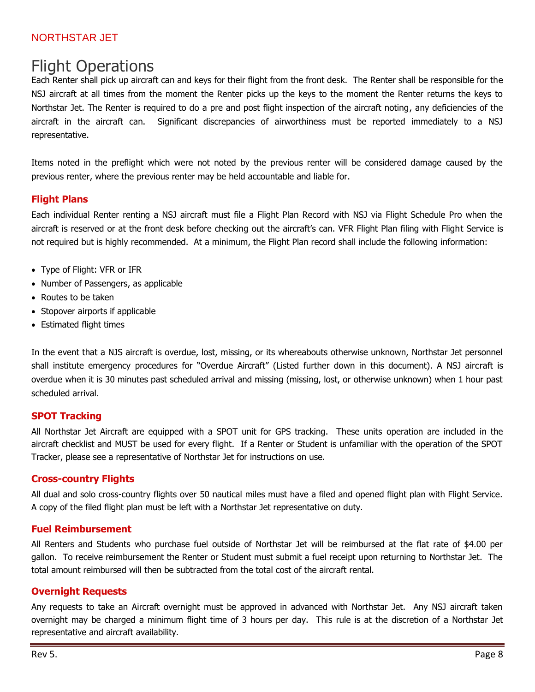# Flight Operations

Each Renter shall pick up aircraft can and keys for their flight from the front desk. The Renter shall be responsible for the NSJ aircraft at all times from the moment the Renter picks up the keys to the moment the Renter returns the keys to Northstar Jet. The Renter is required to do a pre and post flight inspection of the aircraft noting, any deficiencies of the aircraft in the aircraft can. Significant discrepancies of airworthiness must be reported immediately to a NSJ representative.

Items noted in the preflight which were not noted by the previous renter will be considered damage caused by the previous renter, where the previous renter may be held accountable and liable for.

#### **Flight Plans**

Each individual Renter renting a NSJ aircraft must file a Flight Plan Record with NSJ via Flight Schedule Pro when the aircraft is reserved or at the front desk before checking out the aircraft's can. VFR Flight Plan filing with Flight Service is not required but is highly recommended. At a minimum, the Flight Plan record shall include the following information:

- Type of Flight: VFR or IFR
- Number of Passengers, as applicable
- Routes to be taken
- Stopover airports if applicable
- Estimated flight times

In the event that a NJS aircraft is overdue, lost, missing, or its whereabouts otherwise unknown, Northstar Jet personnel shall institute emergency procedures for "Overdue Aircraft" (Listed further down in this document). A NSJ aircraft is overdue when it is 30 minutes past scheduled arrival and missing (missing, lost, or otherwise unknown) when 1 hour past scheduled arrival.

#### **SPOT Tracking**

All Northstar Jet Aircraft are equipped with a SPOT unit for GPS tracking. These units operation are included in the aircraft checklist and MUST be used for every flight. If a Renter or Student is unfamiliar with the operation of the SPOT Tracker, please see a representative of Northstar Jet for instructions on use.

#### **Cross-country Flights**

All dual and solo cross-country flights over 50 nautical miles must have a filed and opened flight plan with Flight Service. A copy of the filed flight plan must be left with a Northstar Jet representative on duty.

#### **Fuel Reimbursement**

All Renters and Students who purchase fuel outside of Northstar Jet will be reimbursed at the flat rate of \$4.00 per gallon. To receive reimbursement the Renter or Student must submit a fuel receipt upon returning to Northstar Jet. The total amount reimbursed will then be subtracted from the total cost of the aircraft rental.

#### **Overnight Requests**

Any requests to take an Aircraft overnight must be approved in advanced with Northstar Jet. Any NSJ aircraft taken overnight may be charged a minimum flight time of 3 hours per day. This rule is at the discretion of a Northstar Jet representative and aircraft availability.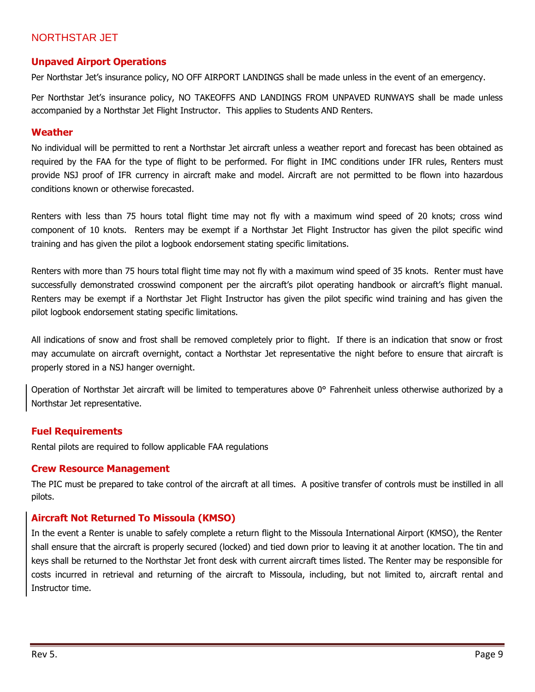#### **Unpaved Airport Operations**

Per Northstar Jet's insurance policy, NO OFF AIRPORT LANDINGS shall be made unless in the event of an emergency.

Per Northstar Jet's insurance policy, NO TAKEOFFS AND LANDINGS FROM UNPAVED RUNWAYS shall be made unless accompanied by a Northstar Jet Flight Instructor. This applies to Students AND Renters.

#### **Weather**

No individual will be permitted to rent a Northstar Jet aircraft unless a weather report and forecast has been obtained as required by the FAA for the type of flight to be performed. For flight in IMC conditions under IFR rules, Renters must provide NSJ proof of IFR currency in aircraft make and model. Aircraft are not permitted to be flown into hazardous conditions known or otherwise forecasted.

Renters with less than 75 hours total flight time may not fly with a maximum wind speed of 20 knots; cross wind component of 10 knots. Renters may be exempt if a Northstar Jet Flight Instructor has given the pilot specific wind training and has given the pilot a logbook endorsement stating specific limitations.

Renters with more than 75 hours total flight time may not fly with a maximum wind speed of 35 knots. Renter must have successfully demonstrated crosswind component per the aircraft's pilot operating handbook or aircraft's flight manual. Renters may be exempt if a Northstar Jet Flight Instructor has given the pilot specific wind training and has given the pilot logbook endorsement stating specific limitations.

All indications of snow and frost shall be removed completely prior to flight. If there is an indication that snow or frost may accumulate on aircraft overnight, contact a Northstar Jet representative the night before to ensure that aircraft is properly stored in a NSJ hanger overnight.

Operation of Northstar Jet aircraft will be limited to temperatures above 0° Fahrenheit unless otherwise authorized by a Northstar Jet representative.

#### **Fuel Requirements**

Rental pilots are required to follow applicable FAA regulations

#### **Crew Resource Management**

The PIC must be prepared to take control of the aircraft at all times. A positive transfer of controls must be instilled in all pilots.

#### **Aircraft Not Returned To Missoula (KMSO)**

In the event a Renter is unable to safely complete a return flight to the Missoula International Airport (KMSO), the Renter shall ensure that the aircraft is properly secured (locked) and tied down prior to leaving it at another location. The tin and keys shall be returned to the Northstar Jet front desk with current aircraft times listed. The Renter may be responsible for costs incurred in retrieval and returning of the aircraft to Missoula, including, but not limited to, aircraft rental and Instructor time.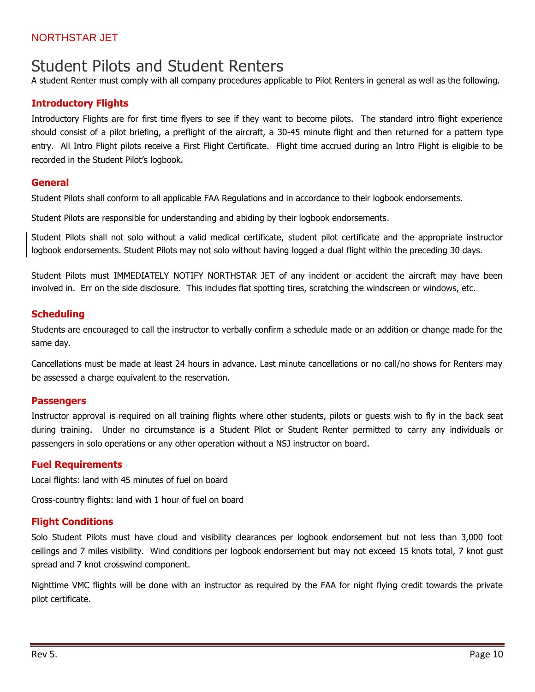### Student Pilots and Student Renters

A student Renter must comply with all company procedures applicable to Pilot Renters in general as well as the following.

#### **Introductory Flights**

Introductory Flights are for first time flyers to see if they want to become pilots. The standard intro flight experience should consist of a pilot briefing, a preflight of the aircraft, a 30-45 minute flight and then returned for a pattern type entry. All Intro Flight pilots receive a First Flight Certificate. Flight time accrued during an Intro Flight is eligible to be recorded in the Student Pilot's logbook.

#### **General**

Student Pilots shall conform to all applicable FAA Regulations and in accordance to their logbook endorsements.

Student Pilots are responsible for understanding and abiding by their logbook endorsements.

Student Pilots shall not solo without a valid medical certificate, student pilot certificate and the appropriate instructor logbook endorsements. Student Pilots may not solo without having logged a dual flight within the preceding 30 days.

Student Pilots must IMMEDIATELY NOTIFY NORTHSTAR JET of any incident or accident the aircraft may have been involved in. Err on the side disclosure. This includes flat spotting tires, scratching the windscreen or windows, etc.

#### **Scheduling**

Students are encouraged to call the instructor to verbally confirm a schedule made or an addition or change made for the same day.

Cancellations must be made at least 24 hours in advance. Last minute cancellations or no call/no shows for Renters may be assessed a charge equivalent to the reservation.

#### **Passengers**

Instructor approval is required on all training flights where other students, pilots or guests wish to fly in the back seat during training. Under no circumstance is a Student Pilot or Student Renter permitted to carry any individuals or passengers in solo operations or any other operation without a NSJ instructor on board.

#### **Fuel Requirements**

Local flights: land with 45 minutes of fuel on board

Cross-country flights: land with 1 hour of fuel on board

#### **Flight Conditions**

Solo Student Pilots must have cloud and visibility clearances per logbook endorsement but not less than 3,000 foot ceilings and 7 miles visibility. Wind conditions per logbook endorsement but may not exceed 15 knots total, 7 knot gust spread and 7 knot crosswind component.

Nighttime VMC flights will be done with an instructor as required by the FAA for night flying credit towards the private pilot certificate.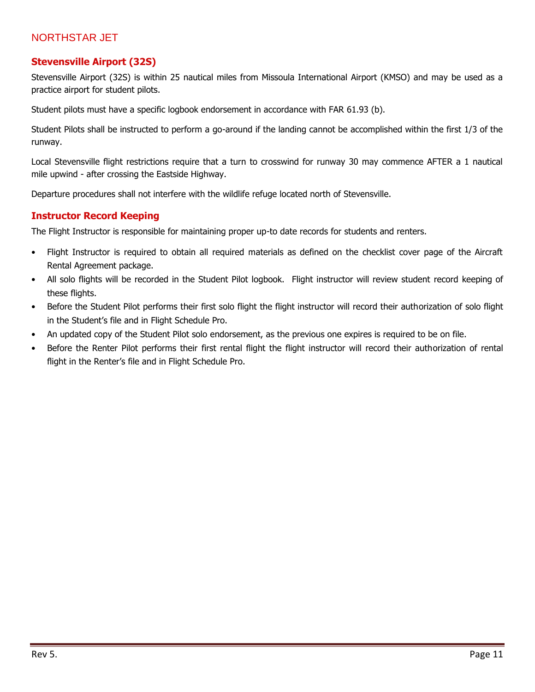#### **Stevensville Airport (32S)**

Stevensville Airport (32S) is within 25 nautical miles from Missoula International Airport (KMSO) and may be used as a practice airport for student pilots.

Student pilots must have a specific logbook endorsement in accordance with FAR 61.93 (b).

Student Pilots shall be instructed to perform a go-around if the landing cannot be accomplished within the first 1/3 of the runway.

Local Stevensville flight restrictions require that a turn to crosswind for runway 30 may commence AFTER a 1 nautical mile upwind - after crossing the Eastside Highway.

Departure procedures shall not interfere with the wildlife refuge located north of Stevensville.

#### **Instructor Record Keeping**

The Flight Instructor is responsible for maintaining proper up-to date records for students and renters.

- Flight Instructor is required to obtain all required materials as defined on the checklist cover page of the Aircraft Rental Agreement package.
- All solo flights will be recorded in the Student Pilot logbook. Flight instructor will review student record keeping of these flights.
- Before the Student Pilot performs their first solo flight the flight instructor will record their authorization of solo flight in the Student's file and in Flight Schedule Pro.
- An updated copy of the Student Pilot solo endorsement, as the previous one expires is required to be on file.
- Before the Renter Pilot performs their first rental flight the flight instructor will record their authorization of rental flight in the Renter's file and in Flight Schedule Pro.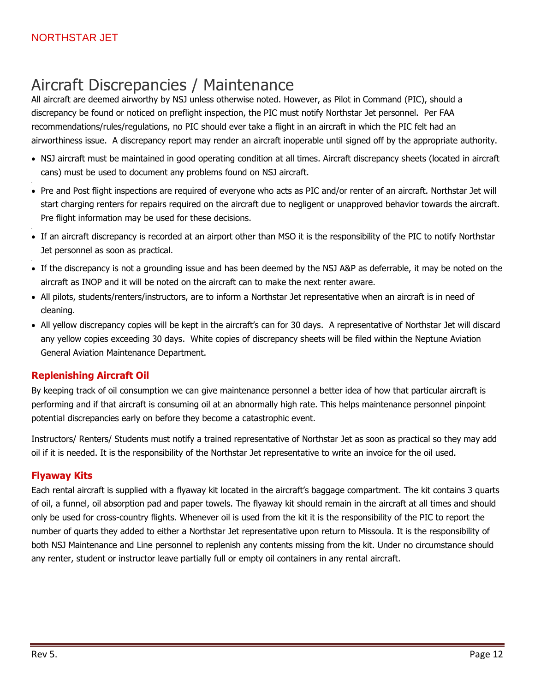# Aircraft Discrepancies / Maintenance

All aircraft are deemed airworthy by NSJ unless otherwise noted. However, as Pilot in Command (PIC), should a discrepancy be found or noticed on preflight inspection, the PIC must notify Northstar Jet personnel. Per FAA recommendations/rules/regulations, no PIC should ever take a flight in an aircraft in which the PIC felt had an airworthiness issue. A discrepancy report may render an aircraft inoperable until signed off by the appropriate authority.

- NSJ aircraft must be maintained in good operating condition at all times. Aircraft discrepancy sheets (located in aircraft cans) must be used to document any problems found on NSJ aircraft.
- Pre and Post flight inspections are required of everyone who acts as PIC and/or renter of an aircraft. Northstar Jet will start charging renters for repairs required on the aircraft due to negligent or unapproved behavior towards the aircraft. Pre flight information may be used for these decisions.
- If an aircraft discrepancy is recorded at an airport other than MSO it is the responsibility of the PIC to notify Northstar Jet personnel as soon as practical.
- If the discrepancy is not a grounding issue and has been deemed by the NSJ A&P as deferrable, it may be noted on the aircraft as INOP and it will be noted on the aircraft can to make the next renter aware.
- All pilots, students/renters/instructors, are to inform a Northstar Jet representative when an aircraft is in need of cleaning.
- All yellow discrepancy copies will be kept in the aircraft's can for 30 days. A representative of Northstar Jet will discard any yellow copies exceeding 30 days. White copies of discrepancy sheets will be filed within the Neptune Aviation General Aviation Maintenance Department.

### **Replenishing Aircraft Oil**

By keeping track of oil consumption we can give maintenance personnel a better idea of how that particular aircraft is performing and if that aircraft is consuming oil at an abnormally high rate. This helps maintenance personnel pinpoint potential discrepancies early on before they become a catastrophic event.

Instructors/ Renters/ Students must notify a trained representative of Northstar Jet as soon as practical so they may add oil if it is needed. It is the responsibility of the Northstar Jet representative to write an invoice for the oil used.

#### **Flyaway Kits**

Each rental aircraft is supplied with a flyaway kit located in the aircraft's baggage compartment. The kit contains 3 quarts of oil, a funnel, oil absorption pad and paper towels. The flyaway kit should remain in the aircraft at all times and should only be used for cross-country flights. Whenever oil is used from the kit it is the responsibility of the PIC to report the number of quarts they added to either a Northstar Jet representative upon return to Missoula. It is the responsibility of both NSJ Maintenance and Line personnel to replenish any contents missing from the kit. Under no circumstance should any renter, student or instructor leave partially full or empty oil containers in any rental aircraft.